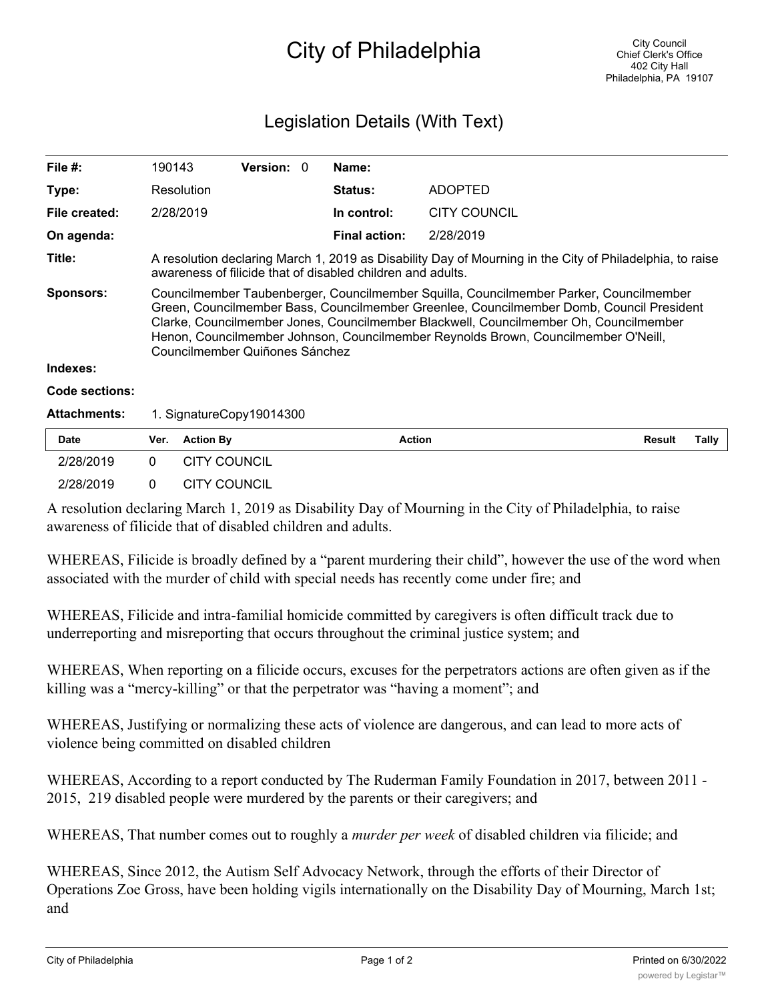## City of Philadelphia

## Legislation Details (With Text)

| File $#$ :          | 190143                                                                                                                                                                                                                                                                                                                                                                                              | <b>Version: 0</b> |  | Name:                |                     |                        |
|---------------------|-----------------------------------------------------------------------------------------------------------------------------------------------------------------------------------------------------------------------------------------------------------------------------------------------------------------------------------------------------------------------------------------------------|-------------------|--|----------------------|---------------------|------------------------|
| Type:               | Resolution                                                                                                                                                                                                                                                                                                                                                                                          |                   |  | <b>Status:</b>       | <b>ADOPTED</b>      |                        |
| File created:       | 2/28/2019                                                                                                                                                                                                                                                                                                                                                                                           |                   |  | In control:          | <b>CITY COUNCIL</b> |                        |
| On agenda:          |                                                                                                                                                                                                                                                                                                                                                                                                     |                   |  | <b>Final action:</b> | 2/28/2019           |                        |
| Title:              | A resolution declaring March 1, 2019 as Disability Day of Mourning in the City of Philadelphia, to raise<br>awareness of filicide that of disabled children and adults.                                                                                                                                                                                                                             |                   |  |                      |                     |                        |
| <b>Sponsors:</b>    | Councilmember Taubenberger, Councilmember Squilla, Councilmember Parker, Councilmember<br>Green, Councilmember Bass, Councilmember Greenlee, Councilmember Domb, Council President<br>Clarke, Councilmember Jones, Councilmember Blackwell, Councilmember Oh, Councilmember<br>Henon, Councilmember Johnson, Councilmember Reynolds Brown, Councilmember O'Neill,<br>Councilmember Quiñones Sánchez |                   |  |                      |                     |                        |
| Indexes:            |                                                                                                                                                                                                                                                                                                                                                                                                     |                   |  |                      |                     |                        |
| Code sections:      |                                                                                                                                                                                                                                                                                                                                                                                                     |                   |  |                      |                     |                        |
| <b>Attachments:</b> | 1. SignatureCopy19014300                                                                                                                                                                                                                                                                                                                                                                            |                   |  |                      |                     |                        |
| <b>Date</b>         | <b>Action By</b><br>Ver.                                                                                                                                                                                                                                                                                                                                                                            |                   |  | <b>Action</b>        |                     | <b>Result</b><br>Tally |

|           | A recolution declaring March 1, 2010 eq Dischility Day of Mauming in the City of Dhiladelphia to raise |
|-----------|--------------------------------------------------------------------------------------------------------|
| 2/28/2019 | 0 CITY COUNCIL                                                                                         |
| 2/28/2019 | 0 CITY COUNCIL                                                                                         |

A resolution declaring March 1, 2019 as Disability Day of Mourning in the City of Philadelphia, to raise awareness of filicide that of disabled children and adults.

WHEREAS, Filicide is broadly defined by a "parent murdering their child", however the use of the word when associated with the murder of child with special needs has recently come under fire; and

WHEREAS, Filicide and intra-familial homicide committed by caregivers is often difficult track due to underreporting and misreporting that occurs throughout the criminal justice system; and

WHEREAS, When reporting on a filicide occurs, excuses for the perpetrators actions are often given as if the killing was a "mercy-killing" or that the perpetrator was "having a moment"; and

WHEREAS, Justifying or normalizing these acts of violence are dangerous, and can lead to more acts of violence being committed on disabled children

WHEREAS, According to a report conducted by The Ruderman Family Foundation in 2017, between 2011 - 2015, 219 disabled people were murdered by the parents or their caregivers; and

WHEREAS, That number comes out to roughly a *murder per week* of disabled children via filicide; and

WHEREAS, Since 2012, the Autism Self Advocacy Network, through the efforts of their Director of Operations Zoe Gross, have been holding vigils internationally on the Disability Day of Mourning, March 1st; and